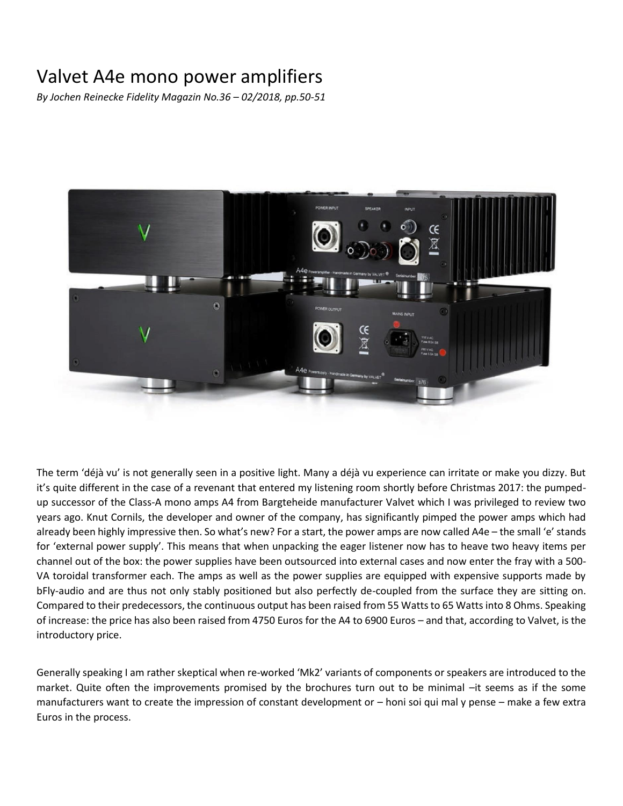## Valvet A4e mono power amplifiers

*By Jochen Reinecke Fidelity Magazin No.36 – 02/2018, pp.50-51*



The term 'déjà vu' is not generally seen in a positive light. Many a déjà vu experience can irritate or make you dizzy. But it's quite different in the case of a revenant that entered my listening room shortly before Christmas 2017: the pumpedup successor of the Class-A mono amps A4 from Bargteheide manufacturer Valvet which I was privileged to review two years ago. Knut Cornils, the developer and owner of the company, has significantly pimped the power amps which had already been highly impressive then. So what's new? For a start, the power amps are now called A4e – the small 'e' stands for 'external power supply'. This means that when unpacking the eager listener now has to heave two heavy items per channel out of the box: the power supplies have been outsourced into external cases and now enter the fray with a 500- VA toroidal transformer each. The amps as well as the power supplies are equipped with expensive supports made by bFly-audio and are thus not only stably positioned but also perfectly de-coupled from the surface they are sitting on. Compared to their predecessors, the continuous output has been raised from 55 Watts to 65 Watts into 8 Ohms. Speaking of increase: the price has also been raised from 4750 Euros for the A4 to 6900 Euros – and that, according to Valvet, is the introductory price.

Generally speaking I am rather skeptical when re-worked 'Mk2' variants of components or speakers are introduced to the market. Quite often the improvements promised by the brochures turn out to be minimal –it seems as if the some manufacturers want to create the impression of constant development or – honi soi qui mal y pense – make a few extra Euros in the process.